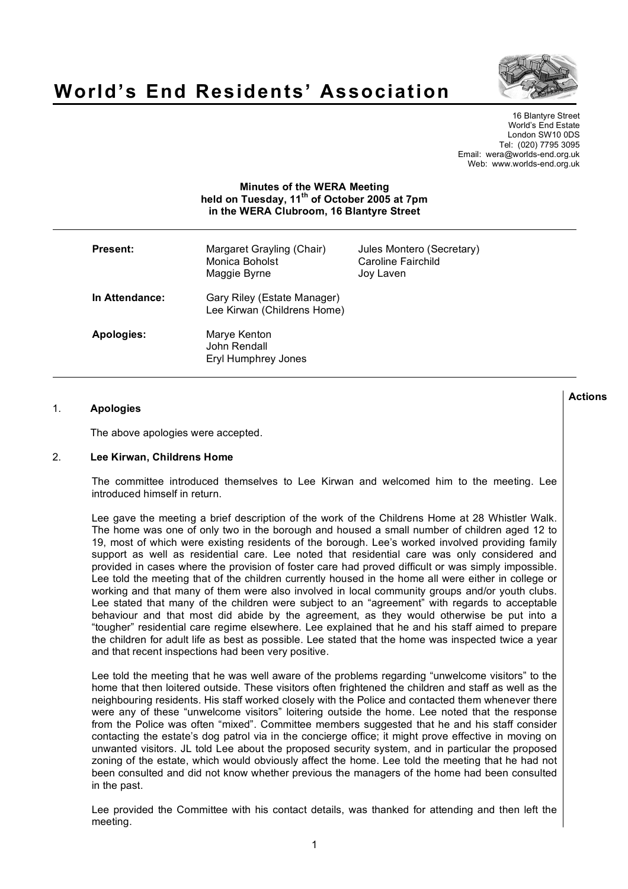



16 Blantyre Street World's End Estate London SW10 0DS Tel: (020) 7795 3095 Email: wera@worlds-end.org.uk Web: www.worlds-end.org.uk

## **Minutes of the WERA Meeting held on Tuesday, 11th of October 2005 at 7pm in the WERA Clubroom, 16 Blantyre Street**

| <b>Present:</b> | Margaret Grayling (Chair)<br>Monica Boholst<br>Maggie Byrne | Jules Montero (Secretary)<br>Caroline Fairchild<br>Joy Laven |
|-----------------|-------------------------------------------------------------|--------------------------------------------------------------|
| In Attendance:  | Gary Riley (Estate Manager)<br>Lee Kirwan (Childrens Home)  |                                                              |
| Apologies:      | Marye Kenton<br>John Rendall<br>Eryl Humphrey Jones         |                                                              |

## 1. **Apologies**

The above apologies were accepted.

## 2. **Lee Kirwan, Childrens Home**

The committee introduced themselves to Lee Kirwan and welcomed him to the meeting. Lee introduced himself in return.

Lee gave the meeting a brief description of the work of the Childrens Home at 28 Whistler Walk. The home was one of only two in the borough and housed a small number of children aged 12 to 19, most of which were existing residents of the borough. Lee's worked involved providing family support as well as residential care. Lee noted that residential care was only considered and provided in cases where the provision of foster care had proved difficult or was simply impossible. Lee told the meeting that of the children currently housed in the home all were either in college or working and that many of them were also involved in local community groups and/or youth clubs. Lee stated that many of the children were subject to an "agreement" with regards to acceptable behaviour and that most did abide by the agreement, as they would otherwise be put into a "tougher" residential care regime elsewhere. Lee explained that he and his staff aimed to prepare the children for adult life as best as possible. Lee stated that the home was inspected twice a year and that recent inspections had been very positive.

Lee told the meeting that he was well aware of the problems regarding "unwelcome visitors" to the home that then loitered outside. These visitors often frightened the children and staff as well as the neighbouring residents. His staff worked closely with the Police and contacted them whenever there were any of these "unwelcome visitors" loitering outside the home. Lee noted that the response from the Police was often "mixed". Committee members suggested that he and his staff consider contacting the estate's dog patrol via in the concierge office; it might prove effective in moving on unwanted visitors. JL told Lee about the proposed security system, and in particular the proposed zoning of the estate, which would obviously affect the home. Lee told the meeting that he had not been consulted and did not know whether previous the managers of the home had been consulted in the past.

Lee provided the Committee with his contact details, was thanked for attending and then left the meeting.

**Actions**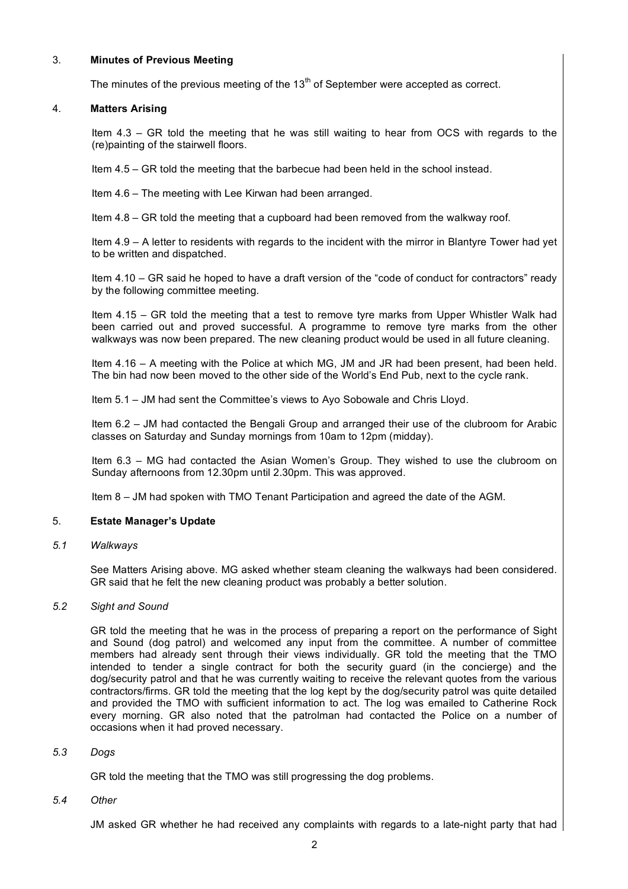## 3. **Minutes of Previous Meeting**

The minutes of the previous meeting of the  $13<sup>th</sup>$  of September were accepted as correct.

## 4. **Matters Arising**

Item 4.3 – GR told the meeting that he was still waiting to hear from OCS with regards to the (re)painting of the stairwell floors.

Item 4.5 – GR told the meeting that the barbecue had been held in the school instead.

Item 4.6 – The meeting with Lee Kirwan had been arranged.

Item 4.8 – GR told the meeting that a cupboard had been removed from the walkway roof.

Item 4.9 – A letter to residents with regards to the incident with the mirror in Blantyre Tower had yet to be written and dispatched.

Item 4.10 – GR said he hoped to have a draft version of the "code of conduct for contractors" ready by the following committee meeting.

Item 4.15 – GR told the meeting that a test to remove tyre marks from Upper Whistler Walk had been carried out and proved successful. A programme to remove tyre marks from the other walkways was now been prepared. The new cleaning product would be used in all future cleaning.

Item 4.16 – A meeting with the Police at which MG, JM and JR had been present, had been held. The bin had now been moved to the other side of the World's End Pub, next to the cycle rank.

Item 5.1 – JM had sent the Committee's views to Ayo Sobowale and Chris Lloyd.

Item 6.2 – JM had contacted the Bengali Group and arranged their use of the clubroom for Arabic classes on Saturday and Sunday mornings from 10am to 12pm (midday).

Item 6.3 – MG had contacted the Asian Women's Group. They wished to use the clubroom on Sunday afternoons from 12.30pm until 2.30pm. This was approved.

Item 8 – JM had spoken with TMO Tenant Participation and agreed the date of the AGM.

# 5. **Estate Manager's Update**

*5.1 Walkways*

See Matters Arising above. MG asked whether steam cleaning the walkways had been considered. GR said that he felt the new cleaning product was probably a better solution.

## *5.2 Sight and Sound*

GR told the meeting that he was in the process of preparing a report on the performance of Sight and Sound (dog patrol) and welcomed any input from the committee. A number of committee members had already sent through their views individually. GR told the meeting that the TMO intended to tender a single contract for both the security guard (in the concierge) and the dog/security patrol and that he was currently waiting to receive the relevant quotes from the various contractors/firms. GR told the meeting that the log kept by the dog/security patrol was quite detailed and provided the TMO with sufficient information to act. The log was emailed to Catherine Rock every morning. GR also noted that the patrolman had contacted the Police on a number of occasions when it had proved necessary.

## *5.3 Dogs*

GR told the meeting that the TMO was still progressing the dog problems.

*5.4 Other*

JM asked GR whether he had received any complaints with regards to a late-night party that had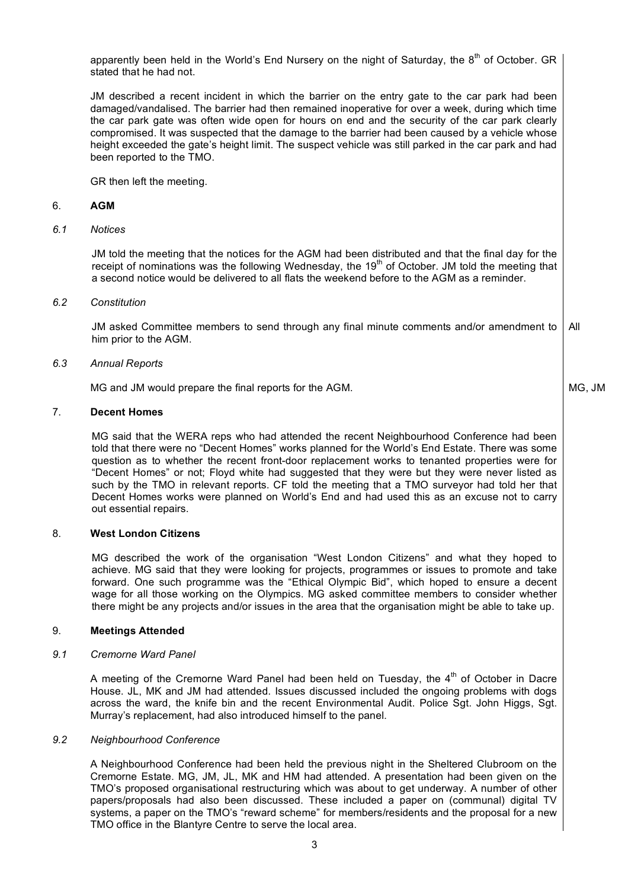apparently been held in the World's End Nursery on the night of Saturday, the  $8<sup>th</sup>$  of October. GR stated that he had not.

JM described a recent incident in which the barrier on the entry gate to the car park had been damaged/vandalised. The barrier had then remained inoperative for over a week, during which time the car park gate was often wide open for hours on end and the security of the car park clearly compromised. It was suspected that the damage to the barrier had been caused by a vehicle whose height exceeded the gate's height limit. The suspect vehicle was still parked in the car park and had been reported to the TMO.

GR then left the meeting.

#### 6. **AGM**

## *6.1 Notices*

JM told the meeting that the notices for the AGM had been distributed and that the final day for the receipt of nominations was the following Wednesday, the 19<sup>th</sup> of October. JM told the meeting that a second notice would be delivered to all flats the weekend before to the AGM as a reminder.

#### *6.2 Constitution*

JM asked Committee members to send through any final minute comments and/or amendment to him prior to the AGM. All

MG, JM

#### *6.3 Annual Reports*

MG and JM would prepare the final reports for the AGM.

#### 7. **Decent Homes**

MG said that the WERA reps who had attended the recent Neighbourhood Conference had been told that there were no "Decent Homes" works planned for the World's End Estate. There was some question as to whether the recent front-door replacement works to tenanted properties were for "Decent Homes" or not; Floyd white had suggested that they were but they were never listed as such by the TMO in relevant reports. CF told the meeting that a TMO surveyor had told her that Decent Homes works were planned on World's End and had used this as an excuse not to carry out essential repairs.

## 8. **West London Citizens**

MG described the work of the organisation "West London Citizens" and what they hoped to achieve. MG said that they were looking for projects, programmes or issues to promote and take forward. One such programme was the "Ethical Olympic Bid", which hoped to ensure a decent wage for all those working on the Olympics. MG asked committee members to consider whether there might be any projects and/or issues in the area that the organisation might be able to take up.

#### 9. **Meetings Attended**

### *9.1 Cremorne Ward Panel*

A meeting of the Cremorne Ward Panel had been held on Tuesday, the  $4<sup>th</sup>$  of October in Dacre House. JL, MK and JM had attended. Issues discussed included the ongoing problems with dogs across the ward, the knife bin and the recent Environmental Audit. Police Sgt. John Higgs, Sgt. Murray's replacement, had also introduced himself to the panel.

### *9.2 Neighbourhood Conference*

A Neighbourhood Conference had been held the previous night in the Sheltered Clubroom on the Cremorne Estate. MG, JM, JL, MK and HM had attended. A presentation had been given on the TMO's proposed organisational restructuring which was about to get underway. A number of other papers/proposals had also been discussed. These included a paper on (communal) digital TV systems, a paper on the TMO's "reward scheme" for members/residents and the proposal for a new TMO office in the Blantyre Centre to serve the local area.